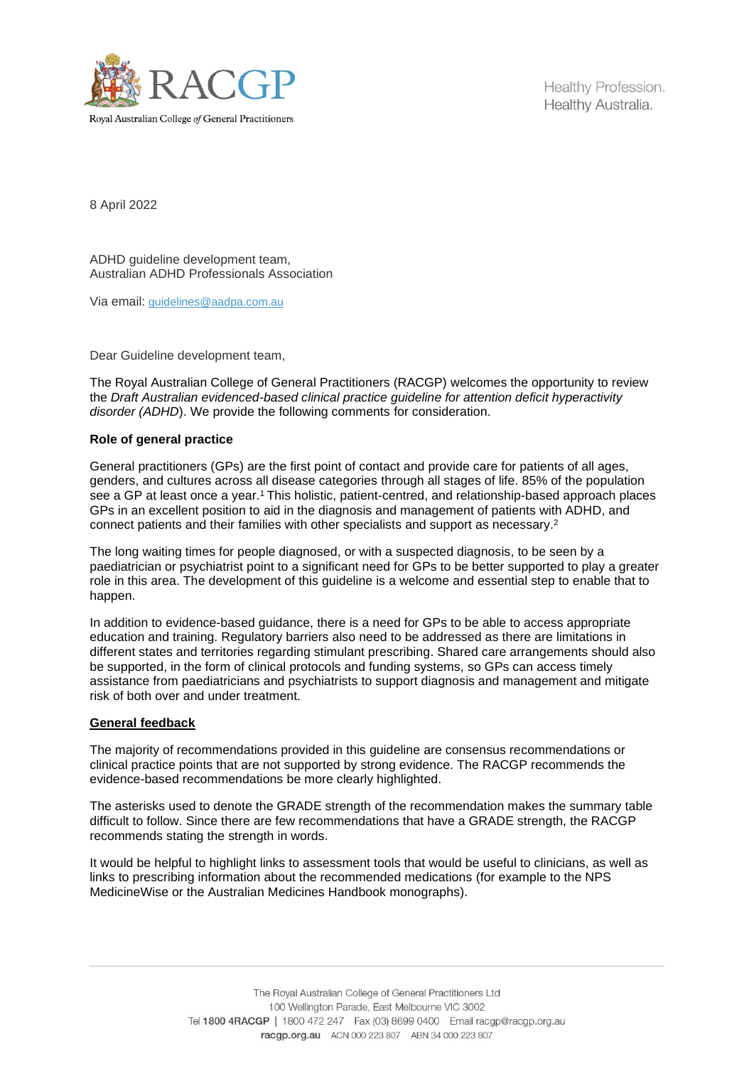

Healthy Profession. Healthy Australia.

8 April 2022

ADHD quideline development team. Australian ADHD Professionals Association

Via email: [guidelines@aadpa.com.au](mailto:guidelines@aadpa.com.au)

Dear Guideline development team,

The Royal Australian College of General Practitioners (RACGP) welcomes the opportunity to review the *Draft Australian evidenced-based clinical practice guideline for attention deficit hyperactivity disorder (ADHD*). We provide the following comments for consideration.

## **Role of general practice**

General practitioners (GPs) are the first point of contact and provide care for patients of all ages, genders, and cultures across all disease categories through all stages of life. 85% of the population see a GP at least once a year.<sup>1</sup> This holistic, patient-centred, and relationship-based approach places GPs in an excellent position to aid in the diagnosis and management of patients with ADHD, and connect patients and their families with other specialists and support as necessary.<sup>2</sup>

The long waiting times for people diagnosed, or with a suspected diagnosis, to be seen by a paediatrician or psychiatrist point to a significant need for GPs to be better supported to play a greater role in this area. The development of this guideline is a welcome and essential step to enable that to happen.

In addition to evidence-based guidance, there is a need for GPs to be able to access appropriate education and training. Regulatory barriers also need to be addressed as there are limitations in different states and territories regarding stimulant prescribing. Shared care arrangements should also be supported, in the form of clinical protocols and funding systems, so GPs can access timely assistance from paediatricians and psychiatrists to support diagnosis and management and mitigate risk of both over and under treatment.

## **General feedback**

The majority of recommendations provided in this guideline are consensus recommendations or clinical practice points that are not supported by strong evidence. The RACGP recommends the evidence-based recommendations be more clearly highlighted.

The asterisks used to denote the GRADE strength of the recommendation makes the summary table difficult to follow. Since there are few recommendations that have a GRADE strength, the RACGP recommends stating the strength in words.

It would be helpful to highlight links to assessment tools that would be useful to clinicians, as well as links to prescribing information about the recommended medications (for example to the NPS MedicineWise or the Australian Medicines Handbook monographs).